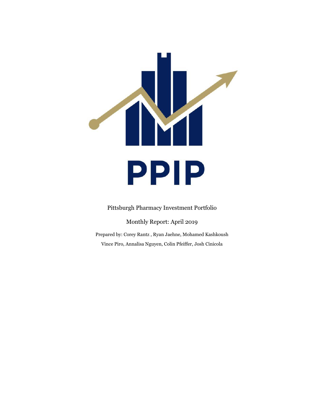

Pittsburgh Pharmacy Investment Portfolio

Monthly Report: April 2019

Prepared by: Corey Rantz , Ryan Jaehne, Mohamed Kashkoush Vince Piro, Annalisa Nguyen, Colin Pfeiffer, Josh Cinicola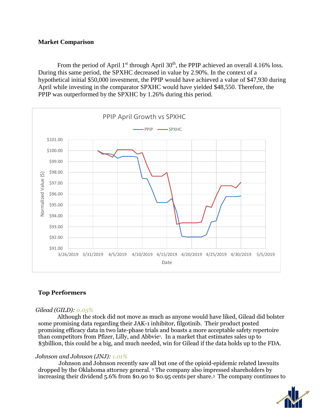# **Market Comparison**

From the period of April  $1<sup>st</sup>$  through April  $30<sup>th</sup>$ , the PPIP achieved an overall 4.16% loss. During this same period, the SPXHC decreased in value by 2.90%. In the context of a hypothetical initial \$50,000 investment, the PPIP would have achieved a value of \$47,930 during April while investing in the comparator SPXHC would have yielded \$48,550. Therefore, the PPIP was outperformed by the SPXHC by 1.26% during this period.



# **Top Performers**

## *Gilead (GILD): 0.05%*

Although the stock did not move as much as anyone would have liked, Gilead did bolster some promising data regarding their JAK-1 inhibitor, filgotinib. Their product posted promising efficacy data in two late-phase trials and boasts a more acceptable safety repertoire than competitors from Pfizer, Lilly, and Abbvie<sup>1</sup> . In a market that estimates sales up to \$3billion, this could be a big, and much needed, win for Gilead if the data holds up to the FDA.

## *Johnson and Johnson (JNJ): 1.01%*

Johnson and Johnson recently saw all but one of the opioid-epidemic related lawsuits dropped by the Oklahoma attorney general. <sup>2</sup> The company also impressed shareholders by increasing their dividend 5.6% from \$0.90 to \$0.95 cents per share. 3 The company continues to

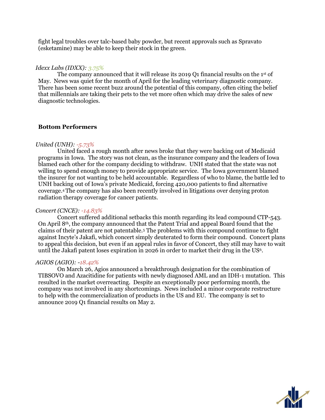fight legal troubles over talc-based baby powder, but recent approvals such as Spravato (esketamine) may be able to keep their stock in the green.

#### *Idexx Labs (IDXX): 3.75%*

The company announced that it will release its 2019 Q1 financial results on the 1<sup>st</sup> of May. News was quiet for the month of April for the leading veterinary diagnostic company. There has been some recent buzz around the potential of this company, often citing the belief that millennials are taking their pets to the vet more often which may drive the sales of new diagnostic technologies.

## **Bottom Performers**

### *United (UNH): -5.73%*

United faced a rough month after news broke that they were backing out of Medicaid programs in Iowa. The story was not clean, as the insurance company and the leaders of Iowa blamed each other for the company deciding to withdraw. UNH stated that the state was not willing to spend enough money to provide appropriate service. The Iowa government blamed the insurer for not wanting to be held accountable. Regardless of who to blame, the battle led to UNH backing out of Iowa's private Medicaid, forcing 420,000 patients to find alternative coverage.4 The company has also been recently involved in litigations over denying proton radiation therapy coverage for cancer patients.

#### *Concert (CNCE): -14.83%*

Concert suffered additional setbacks this month regarding its lead compound CTP-543. On April 8th, the company announced that the Patent Trial and appeal Board found that the claims of their patent are not patentable.<sup>5</sup> The problems with this compound continue to fight against Incyte's Jakafi, which concert simply deuterated to form their compound. Concert plans to appeal this decision, but even if an appeal rules in favor of Concert, they still may have to wait until the Jakafi patent loses expiration in 2026 in order to market their drug in the US<sup>6</sup>.

#### *AGIOS (AGIO): -18.42%*

On March 26, Agios announced a breakthrough designation for the combination of TIBSOVO and Azacitidine for patients with newly diagnosed AML and an IDH-1 mutation. This resulted in the market overreacting. Despite an exceptionally poor performing month, the company was not involved in any shortcomings. News included a minor corporate restructure to help with the commercialization of products in the US and EU. The company is set to announce 2019 Q1 financial results on May 2.